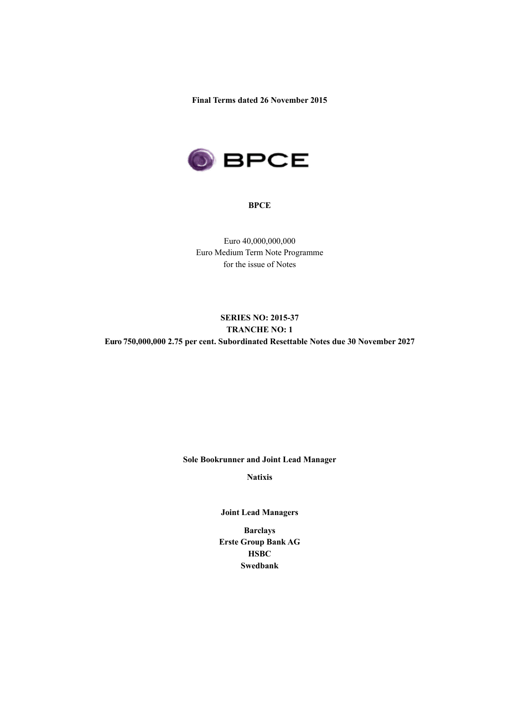**Final Terms dated 26 November 2015**



#### **BPCE**

Euro 40,000,000,000 Euro Medium Term Note Programme for the issue of Notes

# **SERIES NO: 2015-37 TRANCHE NO: 1 Euro 750,000,000 2.75 per cent. Subordinated Resettable Notes due 30 November 2027**

### **Sole Bookrunner and Joint Lead Manager**

**Natixis**

**Joint Lead Managers**

**Barclays Erste Group Bank AG HSBC Swedbank**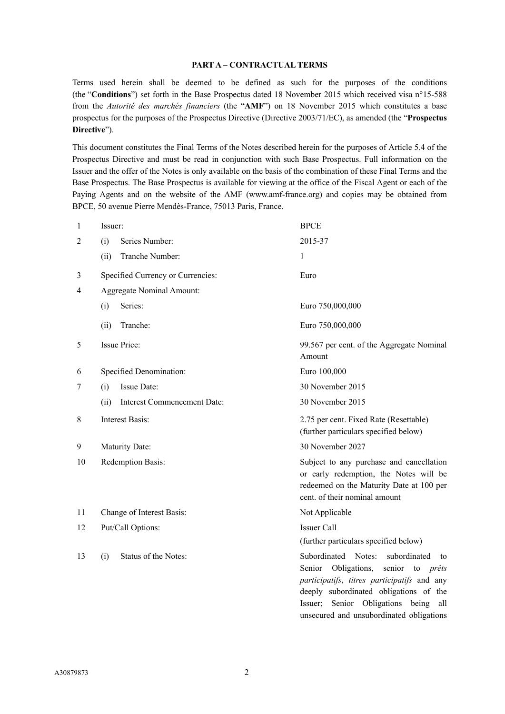### **PART A – CONTRACTUAL TERMS**

Terms used herein shall be deemed to be defined as such for the purposes of the conditions (the "**Conditions**") set forth in the Base Prospectus dated 18 November 2015 which received visa n°15-588 from the *Autorité des marchés financiers* (the "**AMF**") on 18 November 2015 which constitutes a base prospectus for the purposes of the Prospectus Directive (Directive 2003/71/EC), as amended (the "**Prospectus Directive**").

This document constitutes the Final Terms of the Notes described herein for the purposes of Article 5.4 of the Prospectus Directive and must be read in conjunction with such Base Prospectus. Full information on the Issuer and the offer of the Notes is only available on the basis of the combination of these Final Terms and the Base Prospectus. The Base Prospectus is available for viewing at the office of the Fiscal Agent or each of the Paying Agents and on the website of the AMF (www.amf-france.org) and copies may be obtained from BPCE, 50 avenue Pierre Mendès-France, 75013 Paris, France.

| 1  | Issuer:                             | <b>BPCE</b>                                                                                                                                                                                                                                                                   |  |  |
|----|-------------------------------------|-------------------------------------------------------------------------------------------------------------------------------------------------------------------------------------------------------------------------------------------------------------------------------|--|--|
| 2  | Series Number:<br>(i)               | 2015-37                                                                                                                                                                                                                                                                       |  |  |
|    | Tranche Number:<br>(ii)             | 1                                                                                                                                                                                                                                                                             |  |  |
| 3  | Specified Currency or Currencies:   | Euro                                                                                                                                                                                                                                                                          |  |  |
| 4  | <b>Aggregate Nominal Amount:</b>    |                                                                                                                                                                                                                                                                               |  |  |
|    | Series:<br>(i)                      | Euro 750,000,000                                                                                                                                                                                                                                                              |  |  |
|    | Tranche:<br>(ii)                    | Euro 750,000,000                                                                                                                                                                                                                                                              |  |  |
| 5  | <b>Issue Price:</b>                 | 99.567 per cent. of the Aggregate Nominal<br>Amount                                                                                                                                                                                                                           |  |  |
| 6  | Specified Denomination:             | Euro 100,000                                                                                                                                                                                                                                                                  |  |  |
| 7  | Issue Date:<br>(i)                  | 30 November 2015                                                                                                                                                                                                                                                              |  |  |
|    | (ii)<br>Interest Commencement Date: | 30 November 2015                                                                                                                                                                                                                                                              |  |  |
| 8  | <b>Interest Basis:</b>              | 2.75 per cent. Fixed Rate (Resettable)<br>(further particulars specified below)                                                                                                                                                                                               |  |  |
| 9  | Maturity Date:                      | 30 November 2027                                                                                                                                                                                                                                                              |  |  |
| 10 | Redemption Basis:                   | Subject to any purchase and cancellation<br>or early redemption, the Notes will be<br>redeemed on the Maturity Date at 100 per<br>cent. of their nominal amount                                                                                                               |  |  |
| 11 | Change of Interest Basis:           | Not Applicable                                                                                                                                                                                                                                                                |  |  |
| 12 | Put/Call Options:                   | <b>Issuer Call</b>                                                                                                                                                                                                                                                            |  |  |
|    |                                     | (further particulars specified below)                                                                                                                                                                                                                                         |  |  |
| 13 | Status of the Notes:<br>(i)         | Subordinated<br>Notes:<br>subordinated<br>to<br>Senior Obligations,<br>senior<br>to <i>prêts</i><br>participatifs, titres participatifs and any<br>deeply subordinated obligations of the<br>Issuer; Senior Obligations being all<br>unsecured and unsubordinated obligations |  |  |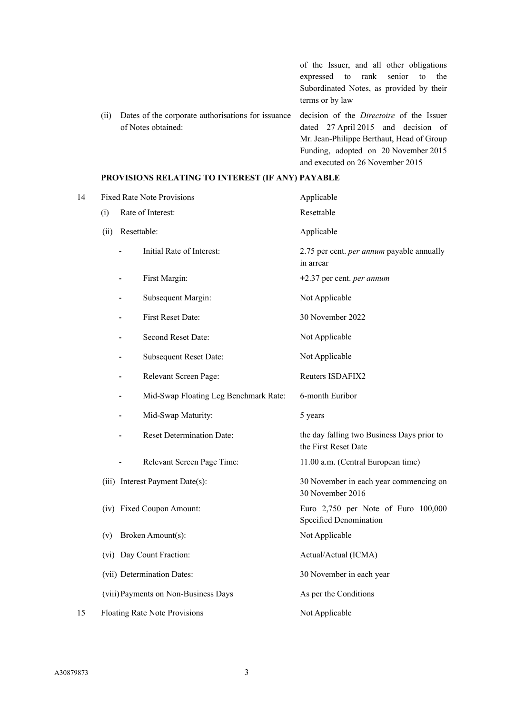of the Issuer, and all other obligations expressed to rank senior to the Subordinated Notes, as provided by their terms or by law (ii) Dates of the corporate authorisations for issuance of Notes obtained: decision of the *Directoire* of the Issuer dated 27 April 2015 and decision of Mr. Jean-Philippe Berthaut, Head of Group Funding, adopted on 20 November 2015

and executed on 26 November 2015

### **PROVISIONS RELATING TO INTEREST (IF ANY) PAYABLE**

| 14 |      | <b>Fixed Rate Note Provisions</b>              | Applicable                                                         |  |
|----|------|------------------------------------------------|--------------------------------------------------------------------|--|
|    | (i)  | Rate of Interest:                              | Resettable                                                         |  |
|    | (ii) | Resettable:                                    | Applicable                                                         |  |
|    |      | Initial Rate of Interest:                      | 2.75 per cent. <i>per annum</i> payable annually<br>in arrear      |  |
|    |      | First Margin:                                  | +2.37 per cent. per annum                                          |  |
|    |      | Subsequent Margin:                             | Not Applicable                                                     |  |
|    |      | First Reset Date:                              | 30 November 2022                                                   |  |
|    |      | Second Reset Date:                             | Not Applicable                                                     |  |
|    |      | <b>Subsequent Reset Date:</b>                  | Not Applicable                                                     |  |
|    |      | Relevant Screen Page:                          | Reuters ISDAFIX2                                                   |  |
|    |      | Mid-Swap Floating Leg Benchmark Rate:          | 6-month Euribor                                                    |  |
|    |      | Mid-Swap Maturity:<br>$\overline{\phantom{a}}$ | 5 years                                                            |  |
|    |      | <b>Reset Determination Date:</b>               | the day falling two Business Days prior to<br>the First Reset Date |  |
|    |      | Relevant Screen Page Time:                     | 11.00 a.m. (Central European time)                                 |  |
|    |      | (iii) Interest Payment Date(s):                | 30 November in each year commencing on<br>30 November 2016         |  |
|    |      | (iv) Fixed Coupon Amount:                      | Euro 2,750 per Note of Euro 100,000<br>Specified Denomination      |  |
|    | (v)  | Broken Amount(s):                              | Not Applicable                                                     |  |
|    |      | (vi) Day Count Fraction:                       | Actual/Actual (ICMA)                                               |  |
|    |      | (vii) Determination Dates:                     | 30 November in each year                                           |  |
|    |      | (viii) Payments on Non-Business Days           | As per the Conditions                                              |  |
| 15 |      | <b>Floating Rate Note Provisions</b>           | Not Applicable                                                     |  |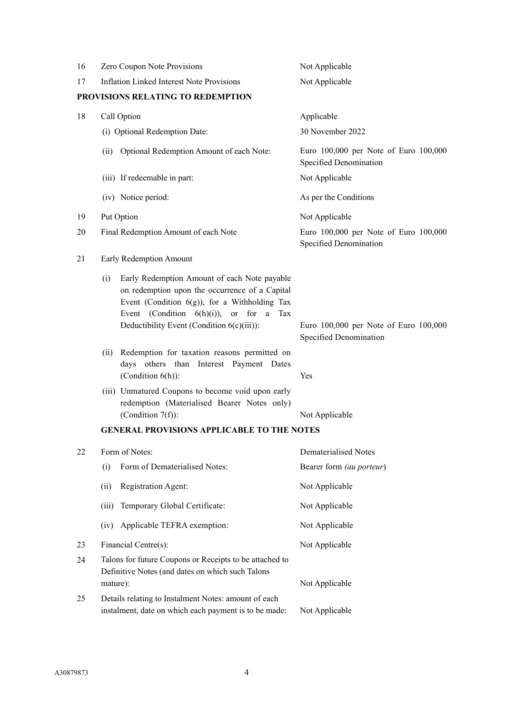| 16 | Zero Coupon Note Provisions                                                                                                                                                                                                                                 | Not Applicable                                                  |  |  |  |
|----|-------------------------------------------------------------------------------------------------------------------------------------------------------------------------------------------------------------------------------------------------------------|-----------------------------------------------------------------|--|--|--|
| 17 | <b>Inflation Linked Interest Note Provisions</b>                                                                                                                                                                                                            | Not Applicable                                                  |  |  |  |
|    | PROVISIONS RELATING TO REDEMPTION                                                                                                                                                                                                                           |                                                                 |  |  |  |
| 18 | Call Option                                                                                                                                                                                                                                                 | Applicable                                                      |  |  |  |
|    | (i) Optional Redemption Date:                                                                                                                                                                                                                               | 30 November 2022                                                |  |  |  |
|    | Optional Redemption Amount of each Note:<br>(ii)                                                                                                                                                                                                            | Euro 100,000 per Note of Euro 100,000<br>Specified Denomination |  |  |  |
|    | (iii) If redeemable in part:                                                                                                                                                                                                                                | Not Applicable                                                  |  |  |  |
|    | (iv) Notice period:                                                                                                                                                                                                                                         | As per the Conditions                                           |  |  |  |
| 19 | Put Option                                                                                                                                                                                                                                                  | Not Applicable                                                  |  |  |  |
| 20 | Final Redemption Amount of each Note<br>Euro 100,000 per Note of Euro 100,000<br>Specified Denomination                                                                                                                                                     |                                                                 |  |  |  |
| 21 | Early Redemption Amount                                                                                                                                                                                                                                     |                                                                 |  |  |  |
|    | Early Redemption Amount of each Note payable<br>(i)<br>on redemption upon the occurrence of a Capital<br>Event (Condition $6(g)$ ), for a Withholding Tax<br>Event (Condition $6(h)(i)$ ), or for<br>a<br>Tax<br>Deductibility Event (Condition 6(c)(iii)): | Euro 100,000 per Note of Euro 100,000<br>Specified Denomination |  |  |  |
|    | Redemption for taxation reasons permitted on<br>(ii)<br>days others than Interest Payment Dates<br>(Condition $6(h)$ ):                                                                                                                                     | Yes                                                             |  |  |  |
|    | (iii) Unmatured Coupons to become void upon early<br>redemption (Materialised Bearer Notes only)<br>(Condition $7(f)$ ):                                                                                                                                    | Not Applicable                                                  |  |  |  |
|    | <b>GENERAL PROVISIONS APPLICABLE TO THE NOTES</b>                                                                                                                                                                                                           |                                                                 |  |  |  |
| 22 | Form of Notes:                                                                                                                                                                                                                                              | <b>Dematerialised Notes</b>                                     |  |  |  |
|    | Form of Dematerialised Notes:<br>(i)                                                                                                                                                                                                                        | Bearer form (au porteur)                                        |  |  |  |
|    | (ii)<br>Registration Agent:                                                                                                                                                                                                                                 | Not Applicable                                                  |  |  |  |
|    | (iii)<br>Temporary Global Certificate:                                                                                                                                                                                                                      | Not Applicable                                                  |  |  |  |
|    | Applicable TEFRA exemption:<br>(iv)                                                                                                                                                                                                                         | Not Applicable                                                  |  |  |  |
| 23 | Financial Centre(s):                                                                                                                                                                                                                                        | Not Applicable                                                  |  |  |  |
| 24 | Talons for future Coupons or Receipts to be attached to<br>Definitive Notes (and dates on which such Talons<br>Not Applicable<br>mature):                                                                                                                   |                                                                 |  |  |  |
| 25 | Details relating to Instalment Notes: amount of each<br>instalment, date on which each payment is to be made:                                                                                                                                               | Not Applicable                                                  |  |  |  |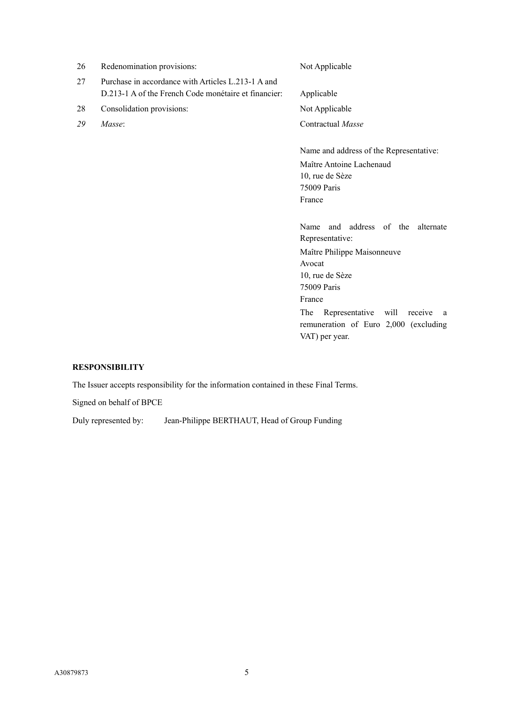| 26 | Redenomination provisions:                                                                                 | Not Applicable                          |  |
|----|------------------------------------------------------------------------------------------------------------|-----------------------------------------|--|
| 27 | Purchase in accordance with Articles L.213-1 A and<br>D.213-1 A of the French Code monétaire et financier. | Applicable                              |  |
| 28 | Consolidation provisions:                                                                                  | Not Applicable                          |  |
| 29 | Masse:                                                                                                     | Contractual Masse                       |  |
|    |                                                                                                            | Name and address of the Representative: |  |
|    |                                                                                                            | Maître Antoine Lachenaud                |  |
|    |                                                                                                            | 10, rue de Sèze                         |  |
|    |                                                                                                            | 75009 Paris                             |  |
|    |                                                                                                            | France                                  |  |
|    |                                                                                                            | and address of the<br>alternate<br>Name |  |
|    |                                                                                                            | Representative:                         |  |
|    |                                                                                                            | Maître Philippe Maisonneuve             |  |

Avocat

10, rue de Sèze 75009 Paris France

VAT) per year.

The Representative will receive a remuneration of Euro 2,000 (excluding

# **RESPONSIBILITY**

The Issuer accepts responsibility for the information contained in these Final Terms.

Signed on behalf of BPCE

Duly represented by: Jean-Philippe BERTHAUT, Head of Group Funding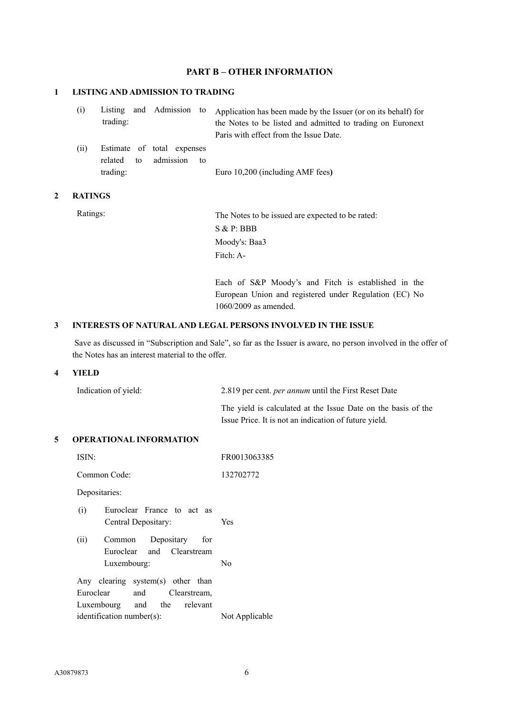## **PART B – OTHER INFORMATION**

## **1 LISTING AND ADMISSION TO TRADING**

| (i) |          |  | Listing and Admission to Application has been made by the Issuer (or on its behalf) for |
|-----|----------|--|-----------------------------------------------------------------------------------------|
|     | trading: |  | the Notes to be listed and admitted to trading on Euronext                              |
|     |          |  | Paris with effect from the Issue Date.                                                  |

(ii) Estimate of total expenses related to admission to trading: Euro 10,200 (including AMF fees**)**

### **2 RATINGS**

Ratings: The Notes to be issued are expected to be rated: S & P: BBB Moody's: Baa3 Fitch: A-

> Each of S&P Moody's and Fitch is established in the European Union and registered under Regulation (EC) No 1060/2009 as amended.

### **3 INTERESTS OF NATURAL AND LEGAL PERSONS INVOLVED IN THE ISSUE**

Save as discussed in "Subscription and Sale", so far as the Issuer is aware, no person involved in the offer of the Notes has an interest material to the offer.

#### **4 YIELD**

| Indication of yield: | 2.819 per cent. <i>per annum</i> until the First Reset Date   |
|----------------------|---------------------------------------------------------------|
|                      | The yield is calculated at the Issue Date on the basis of the |
|                      | Issue Price. It is not an indication of future yield.         |

### **5 OPERATIONAL INFORMATION**

| ISIN:                                                                                                | FR0013063385   |  |  |
|------------------------------------------------------------------------------------------------------|----------------|--|--|
| Common Code:                                                                                         | 132702772      |  |  |
| Depositaries:                                                                                        |                |  |  |
| (i)<br>Euroclear France to act as<br>Central Depositary:                                             | Yes            |  |  |
| (ii)<br>Common Depositary<br>for<br>Euroclear and Clearstream<br>Luxembourg:                         | N <sub>0</sub> |  |  |
| Any clearing system(s) other than<br>Euroclear<br>and<br>Clearstream,<br>Luxembourg and the relevant |                |  |  |
| Not Applicable<br>$identification number(s)$ :                                                       |                |  |  |